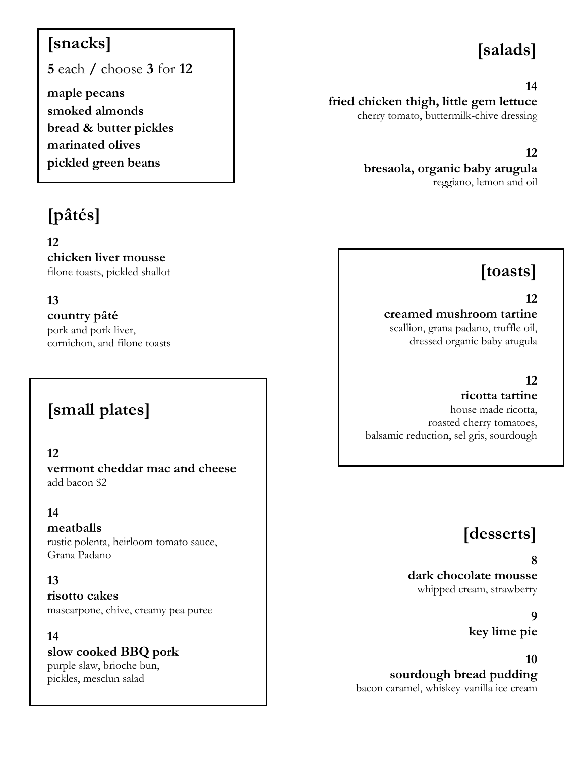## **[snacks]**

**5** each **/** choose **3** for **12**

**maple pecans smoked almonds bread & butter pickles marinated olives pickled green beans**

# **[pâtés]**

**12 chicken liver mousse** filone toasts, pickled shallot

#### **13**

**country pâté**

pork and pork liver, cornichon, and filone toasts

## **[small plates]**

#### **12**

**vermont cheddar mac and cheese** add bacon \$2

#### **14**

#### **meatballs**

rustic polenta, heirloom tomato sauce, Grana Padano

#### **13**

**risotto cakes** mascarpone, chive, creamy pea puree

#### **14**

**slow cooked BBQ pork** purple slaw, brioche bun, pickles, mesclun salad

# **[salads]**

#### **14**

**fried chicken thigh, little gem lettuce** cherry tomato, buttermilk-chive dressing

#### **12**

**bresaola, organic baby arugula** reggiano, lemon and oil

## **[toasts]**

#### **12**

#### **creamed mushroom tartine** scallion, grana padano, truffle oil, dressed organic baby arugula

#### **12**

**ricotta tartine** house made ricotta, roasted cherry tomatoes, balsamic reduction, sel gris, sourdough

## **[desserts]**

#### **8**

**dark chocolate mousse** whipped cream, strawberry

> **9 key lime pie**

**10 sourdough bread pudding**

bacon caramel, whiskey-vanilla ice cream